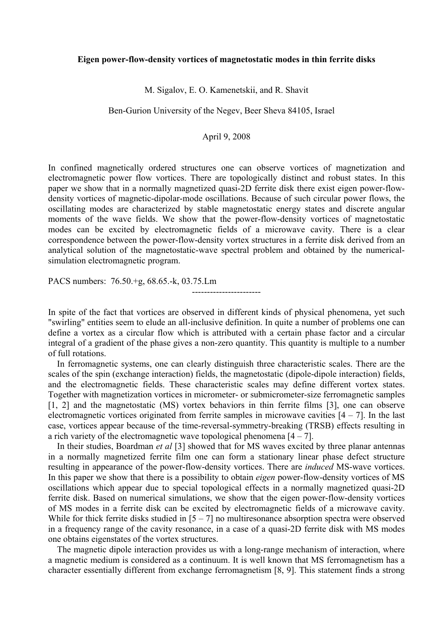## **Eigen power-flow-density vortices of magnetostatic modes in thin ferrite disks**

M. Sigalov, E. O. Kamenetskii, and R. Shavit

Ben-Gurion University of the Negev, Beer Sheva 84105, Israel

## April 9, 2008

In confined magnetically ordered structures one can observe vortices of magnetization and electromagnetic power flow vortices. There are topologically distinct and robust states. In this paper we show that in a normally magnetized quasi-2D ferrite disk there exist eigen power-flowdensity vortices of magnetic-dipolar-mode oscillations. Because of such circular power flows, the oscillating modes are characterized by stable magnetostatic energy states and discrete angular moments of the wave fields. We show that the power-flow-density vortices of magnetostatic modes can be excited by electromagnetic fields of a microwave cavity. There is a clear correspondence between the power-flow-density vortex structures in a ferrite disk derived from an analytical solution of the magnetostatic-wave spectral problem and obtained by the numericalsimulation electromagnetic program.

PACS numbers: 76.50.+g, 68.65.-k, 03.75.Lm

In spite of the fact that vortices are observed in different kinds of physical phenomena, yet such "swirling" entities seem to elude an all-inclusive definition. In quite a number of problems one can define a vortex as a circular flow which is attributed with a certain phase factor and a circular integral of a gradient of the phase gives a non-zero quantity. This quantity is multiple to a number of full rotations.

-----------------------

 In ferromagnetic systems, one can clearly distinguish three characteristic scales. There are the scales of the spin (exchange interaction) fields, the magnetostatic (dipole-dipole interaction) fields, and the electromagnetic fields. These characteristic scales may define different vortex states. Together with magnetization vortices in micrometer- or submicrometer-size ferromagnetic samples [1, 2] and the magnetostatic (MS) vortex behaviors in thin ferrite films [3], one can observe electromagnetic vortices originated from ferrite samples in microwave cavities  $[4 - 7]$ . In the last case, vortices appear because of the time-reversal-symmetry-breaking (TRSB) effects resulting in a rich variety of the electromagnetic wave topological phenomena  $[4 - 7]$ .

 In their studies, Boardman *et al* [3] showed that for MS waves excited by three planar antennas in a normally magnetized ferrite film one can form a stationary linear phase defect structure resulting in appearance of the power-flow-density vortices. There are *induced* MS-wave vortices. In this paper we show that there is a possibility to obtain *eigen* power-flow-density vortices of MS oscillations which appear due to special topological effects in a normally magnetized quasi-2D ferrite disk. Based on numerical simulations, we show that the eigen power-flow-density vortices of MS modes in a ferrite disk can be excited by electromagnetic fields of a microwave cavity. While for thick ferrite disks studied in  $[5 - 7]$  no multiresonance absorption spectra were observed in a frequency range of the cavity resonance, in a case of a quasi-2D ferrite disk with MS modes one obtains eigenstates of the vortex structures.

 The magnetic dipole interaction provides us with a long-range mechanism of interaction, where a magnetic medium is considered as a continuum. It is well known that MS ferromagnetism has a character essentially different from exchange ferromagnetism [8, 9]. This statement finds a strong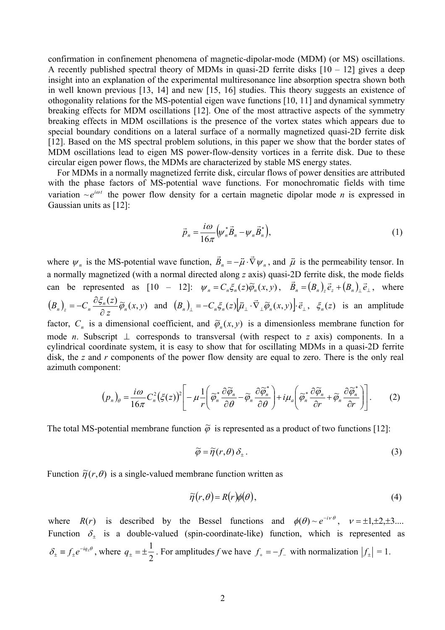confirmation in confinement phenomena of magnetic-dipolar-mode (MDM) (or MS) oscillations. A recently published spectral theory of MDMs in quasi-2D ferrite disks  $[10 - 12]$  gives a deep insight into an explanation of the experimental multiresonance line absorption spectra shown both in well known previous [13, 14] and new [15, 16] studies. This theory suggests an existence of othogonality relations for the MS-potential eigen wave functions [10, 11] and dynamical symmetry breaking effects for MDM oscillations [12]. One of the most attractive aspects of the symmetry breaking effects in MDM oscillations is the presence of the vortex states which appears due to special boundary conditions on a lateral surface of a normally magnetized quasi-2D ferrite disk [12]. Based on the MS spectral problem solutions, in this paper we show that the border states of MDM oscillations lead to eigen MS power-flow-density vortices in a ferrite disk. Due to these circular eigen power flows, the MDMs are characterized by stable MS energy states.

 For MDMs in a normally magnetized ferrite disk, circular flows of power densities are attributed with the phase factors of MS-potential wave functions. For monochromatic fields with time variation  $\sim e^{i\omega t}$  the power flow density for a certain magnetic dipolar mode *n* is expressed in Gaussian units as [12]:

$$
\vec{p}_n = \frac{i\omega}{16\pi} \Big(\psi_n^* \vec{B}_n - \psi_n \vec{B}_n^* \Big),\tag{1}
$$

where  $\psi_n$  is the MS-potential wave function,  $\vec{B}_n = -\vec{\mu} \cdot \vec{\nabla} \psi_n$ , and  $\vec{\mu}$  is the permeability tensor. In a normally magnetized (with a normal directed along *z* axis) quasi-2D ferrite disk, the mode fields can be represented as  $[10 - 12]$ :  $\psi_n = C_n \xi_n(z) \widetilde{\varphi}_n(x, y)$ ,  $\vec{B}_n = (B_n)_z \vec{e}_z + (B_n)_\perp \vec{e}_\perp$ , where  $(B_n)_{\scriptscriptstyle \gamma} = -C_n \frac{\partial \xi_n(z)}{\partial \xi_n(y)} \widetilde{\varphi}_n(x, y)$  $(B_n)_z = -C_n \frac{\partial \xi_n(z)}{\partial z} \widetilde{\varphi}_n(x, y)$  and  $(B_n)_\perp = -C_n \xi_n(z) [\overline{\mu}_\perp \cdot \vec{\nabla}_\perp \widetilde{\varphi}_n(x, y)] \cdot \vec{e}_\perp$ ,  $\xi_n(z)$  is an amplitude factor,  $C_n$  is a dimensional coefficient, and  $\tilde{\varphi}_n(x, y)$  is a dimensionless membrane function for mode *n*. Subscript ⊥ corresponds to transversal (with respect to *z* axis) components. In a cylindrical coordinate system, it is easy to show that for oscillating MDMs in a quasi-2D ferrite disk, the *z* and *r* components of the power flow density are equal to zero. There is the only real azimuth component:

$$
(p_n)_{\theta} = \frac{i\omega}{16\pi} C_n^2 (\xi(z))^2 \left[ -\mu \frac{1}{r} \left( \widetilde{\varphi}_n^* \frac{\partial \widetilde{\varphi}_n}{\partial \theta} - \widetilde{\varphi}_n \frac{\partial \widetilde{\varphi}_n^*}{\partial \theta} \right) + i\mu_a \left( \widetilde{\varphi}_n^* \frac{\partial \widetilde{\varphi}_n}{\partial r} + \widetilde{\varphi}_n \frac{\partial \widetilde{\varphi}_n^*}{\partial r} \right) \right].
$$
 (2)

The total MS-potential membrane function  $\tilde{\varphi}$  is represented as a product of two functions [12]:

$$
\widetilde{\varphi} = \widetilde{\eta}(r,\theta) \, \delta_{\pm} \,. \tag{3}
$$

Function  $\tilde{\eta}(r, \theta)$  is a single-valued membrane function written as

$$
\widetilde{\eta}(r,\theta) = R(r)\phi(\theta),\tag{4}
$$

where  $R(r)$  is described by the Bessel functions and  $\phi(\theta) \sim e^{-i v \theta}$ ,  $v = \pm 1, \pm 2, \pm 3, ...$ Function  $\delta_+$  is a double-valued (spin-coordinate-like) function, which is represented as  $\delta_{\pm} = f_{\pm}e^{-iq_{\pm}\theta}$ , where  $q_{\pm} = \pm \frac{1}{2}$ . For amplitudes *f* we have  $f_{+} = -f_{-}$  with normalization  $|f_{\pm}| = 1$ .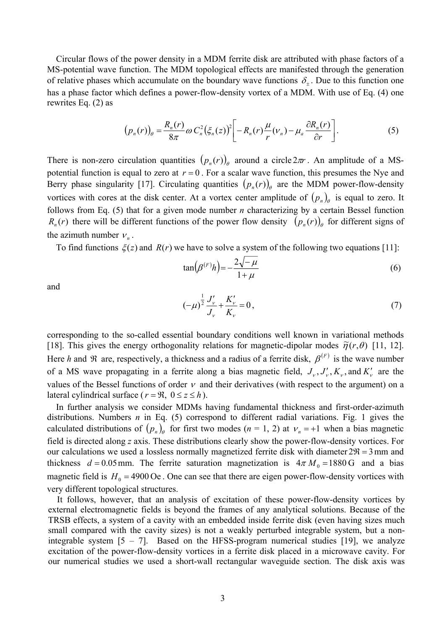Circular flows of the power density in a MDM ferrite disk are attributed with phase factors of a MS-potential wave function. The MDM topological effects are manifested through the generation of relative phases which accumulate on the boundary wave functions  $\delta_{+}$ . Due to this function one has a phase factor which defines a power-flow-density vortex of a MDM. With use of Eq. (4) one rewrites Eq. (2) as

$$
\left(p_n(r)\right)_{\theta} = \frac{R_n(r)}{8\pi} \omega C_n^2 \left(\xi_n(z)\right)^2 \left[-R_n(r)\frac{\mu}{r}(v_n) - \mu_a \frac{\partial R_n(r)}{\partial r}\right].\tag{5}
$$

There is non-zero circulation quantities  $(p_n(r))$ <sub>*e*</sub> around a circle  $2\pi r$ . An amplitude of a MSpotential function is equal to zero at  $r = 0$ . For a scalar wave function, this presumes the Nye and Berry phase singularity [17]. Circulating quantities  $(p_n(r))$  are the MDM power-flow-density vortices with cores at the disk center. At a vortex center amplitude of  $(p_n)$  is equal to zero. It follows from Eq. (5) that for a given mode number *n* characterizing by a certain Bessel function  $R_n(r)$  there will be different functions of the power flow density  $(p_n(r))$  for different signs of the azimuth number  $v_n$ .

To find functions  $\xi(z)$  and  $R(r)$  we have to solve a system of the following two equations [11]:

$$
\tan\left(\beta^{(F)}h\right) = -\frac{2\sqrt{-\mu}}{1+\mu} \tag{6}
$$

and

$$
(-\mu)^{\frac{1}{2}} \frac{J'_{\nu}}{J_{\nu}} + \frac{K'_{\nu}}{K_{\nu}} = 0, \tag{7}
$$

corresponding to the so-called essential boundary conditions well known in variational methods [18]. This gives the energy orthogonality relations for magnetic-dipolar modes  $\tilde{\eta}(r,\theta)$  [11, 12]. Here *h* and  $\Re$  are, respectively, a thickness and a radius of a ferrite disk,  $\beta^{(F)}$  is the wave number of a MS wave propagating in a ferrite along a bias magnetic field,  $J_{\nu}$ ,  $J'_{\nu}$ ,  $K_{\nu}$ , and  $K'_{\nu}$  are the values of the Bessel functions of order  $\nu$  and their derivatives (with respect to the argument) on a lateral cylindrical surface ( $r = \Re$ ,  $0 \le z \le h$ ).

 In further analysis we consider MDMs having fundamental thickness and first-order-azimuth distributions. Numbers *n* in Eq. (5) correspond to different radial variations. Fig. 1 gives the calculated distributions of  $(p_n)$  for first two modes  $(n = 1, 2)$  at  $v_n = +1$  when a bias magnetic field is directed along *z* axis. These distributions clearly show the power-flow-density vortices. For our calculations we used a lossless normally magnetized ferrite disk with diameter  $2\mathcal{R} = 3$  mm and thickness  $d = 0.05$  mm. The ferrite saturation magnetization is  $4\pi M_0 = 1880$  G and a bias magnetic field is  $H_0 = 4900 \text{ Oe}$ . One can see that there are eigen power-flow-density vortices with very different topological structures.

 It follows, however, that an analysis of excitation of these power-flow-density vortices by external electromagnetic fields is beyond the frames of any analytical solutions. Because of the TRSB effects, a system of a cavity with an embedded inside ferrite disk (even having sizes much small compared with the cavity sizes) is not a weakly perturbed integrable system, but a nonintegrable system  $[5 - 7]$ . Based on the HFSS-program numerical studies  $[19]$ , we analyze excitation of the power-flow-density vortices in a ferrite disk placed in a microwave cavity. For our numerical studies we used a short-wall rectangular waveguide section. The disk axis was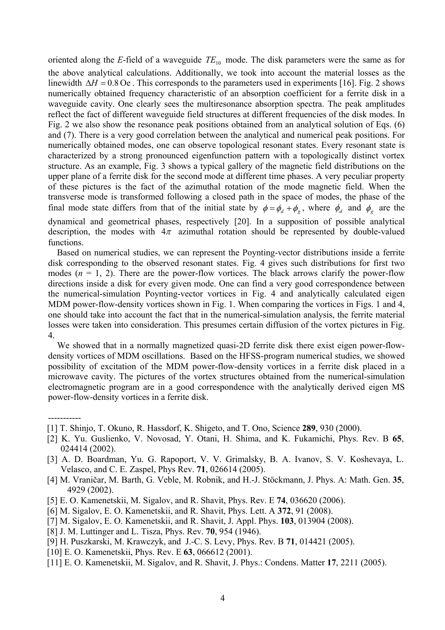oriented along the *E*-field of a waveguide  $TE_{10}$  mode. The disk parameters were the same as for the above analytical calculations. Additionally, we took into account the material losses as the linewidth ∆*H* = 0.8 Oe . This corresponds to the parameters used in experiments [16]. Fig. 2 shows numerically obtained frequency characteristic of an absorption coefficient for a ferrite disk in a waveguide cavity. One clearly sees the multiresonance absorption spectra. The peak amplitudes reflect the fact of different waveguide field structures at different frequencies of the disk modes. In Fig. 2 we also show the resonance peak positions obtained from an analytical solution of Eqs. (6) and (7). There is a very good correlation between the analytical and numerical peak positions. For numerically obtained modes, one can observe topological resonant states. Every resonant state is characterized by a strong pronounced eigenfunction pattern with a topologically distinct vortex structure. As an example, Fig. 3 shows a typical gallery of the magnetic field distributions on the upper plane of a ferrite disk for the second mode at different time phases. A very peculiar property of these pictures is the fact of the azimuthal rotation of the mode magnetic field. When the transverse mode is transformed following a closed path in the space of modes, the phase of the final mode state differs from that of the initial state by  $\phi = \phi_d + \phi_g$ , where  $\phi_d$  and  $\phi_g$  are the dynamical and geometrical phases, respectively [20]. In a supposition of possible analytical description, the modes with  $4\pi$  azimuthal rotation should be represented by double-valued functions.

 Based on numerical studies, we can represent the Poynting-vector distributions inside a ferrite disk corresponding to the observed resonant states. Fig. 4 gives such distributions for first two modes  $(n = 1, 2)$ . There are the power-flow vortices. The black arrows clarify the power-flow directions inside a disk for every given mode. One can find a very good correspondence between the numerical-simulation Poynting-vector vortices in Fig. 4 and analytically calculated eigen MDM power-flow-density vortices shown in Fig. 1. When comparing the vortices in Figs. 1 and 4, one should take into account the fact that in the numerical-simulation analysis, the ferrite material losses were taken into consideration. This presumes certain diffusion of the vortex pictures in Fig. 4.

 We showed that in a normally magnetized quasi-2D ferrite disk there exist eigen power-flowdensity vortices of MDM oscillations. Based on the HFSS-program numerical studies, we showed possibility of excitation of the MDM power-flow-density vortices in a ferrite disk placed in a microwave cavity. The pictures of the vortex structures obtained from the numerical-simulation electromagnetic program are in a good correspondence with the analytically derived eigen MS power-flow-density vortices in a ferrite disk.

- [1] T. Shinjo, T. Okuno, R. Hassdorf, K. Shigeto, and T. Ono, Science **289**, 930 (2000).
- [2] K. Yu. Guslienko, V. Novosad, Y. Otani, H. Shima, and K. Fukamichi, Phys. Rev. B **65**, 024414 (2002).
- [3] A. D. Boardman, Yu. G. Rapoport, V. V. Grimalsky, B. A. Ivanov, S. V. Koshevaya, L. Velasco, and C. E. Zaspel, Phys Rev. **71**, 026614 (2005).
- [4] M. Vraničar, M. Barth, G. Veble, M. Robnik, and H.-J. Stöckmann, J. Phys. A: Math. Gen. **35**, 4929 (2002).
- [5] E. O. Kamenetskii, M. Sigalov, and R. Shavit, Phys. Rev. E **74**, 036620 (2006).
- [6] M. Sigalov, E. O. Kamenetskii, and R. Shavit, Phys. Lett. A **372**, 91 (2008).
- [7] M. Sigalov, E. O. Kamenetskii, and R. Shavit, J. Appl. Phys. **103**, 013904 (2008).
- [8] J. M. Luttinger and L. Tisza, Phys. Rev. **70**, 954 (1946).

-----------

- [9] H. Puszkarski, M. Krawczyk, and J.-C. S. Levy, Phys. Rev. B **71**, 014421 (2005).
- [10] E. O. Kamenetskii, Phys. Rev. E **63**, 066612 (2001).
- [11] E. O. Kamenetskii, M. Sigalov, and R. Shavit, J. Phys.: Condens. Matter **17**, 2211 (2005).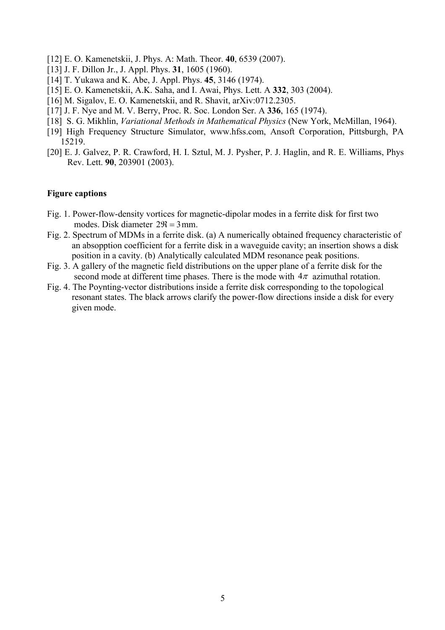- [12] E. O. Kamenetskii, J. Phys. A: Math. Theor. **40**, 6539 (2007).
- [13] J. F. Dillon Jr., J. Appl. Phys. **31**, 1605 (1960).
- [14] T. Yukawa and K. Abe, J. Appl. Phys. **45**, 3146 (1974).
- [15] E. O. Kamenetskii, A.K. Saha, and I. Awai, Phys. Lett. A **332**, 303 (2004).
- [16] M. Sigalov, E. O. Kamenetskii, and R. Shavit, arXiv:0712.2305.
- [17] J. F. Nye and M. V. Berry, Proc. R. Soc. London Ser. A **336**, 165 (1974).
- [18] S. G. Mikhlin, *Variational Methods in Mathematical Physics* (New York, McMillan, 1964).
- [19] High Frequency Structure Simulator, www.hfss.com, Ansoft Corporation, Pittsburgh, PA 15219.
- [20] E. J. Galvez, P. R. Crawford, H. I. Sztul, M. J. Pysher, P. J. Haglin, and R. E. Williams, Phys Rev. Lett. **90**, 203901 (2003).

## **Figure captions**

- Fig. 1. Power-flow-density vortices for magnetic-dipolar modes in a ferrite disk for first two modes. Disk diameter  $2\Re = 3$  mm.
- Fig. 2. Spectrum of MDMs in a ferrite disk. (a) A numerically obtained frequency characteristic of an absopption coefficient for a ferrite disk in a waveguide cavity; an insertion shows a disk position in a cavity. (b) Analytically calculated MDM resonance peak positions.
- Fig. 3. A gallery of the magnetic field distributions on the upper plane of a ferrite disk for the second mode at different time phases. There is the mode with  $4\pi$  azimuthal rotation.
- Fig. 4. The Poynting-vector distributions inside a ferrite disk corresponding to the topological resonant states. The black arrows clarify the power-flow directions inside a disk for every given mode.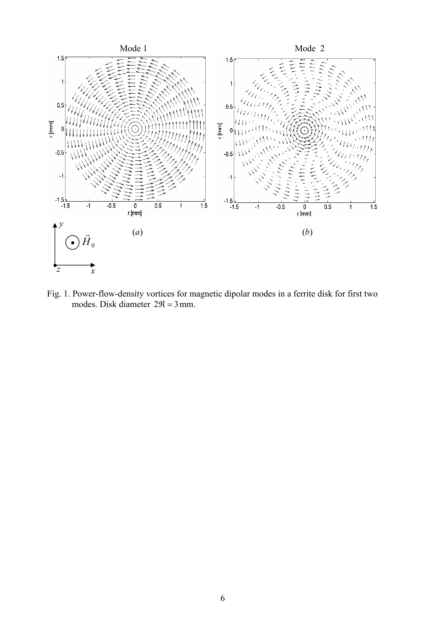

Fig. 1. Power-flow-density vortices for magnetic dipolar modes in a ferrite disk for first two modes. Disk diameter  $2\Re = 3$  mm.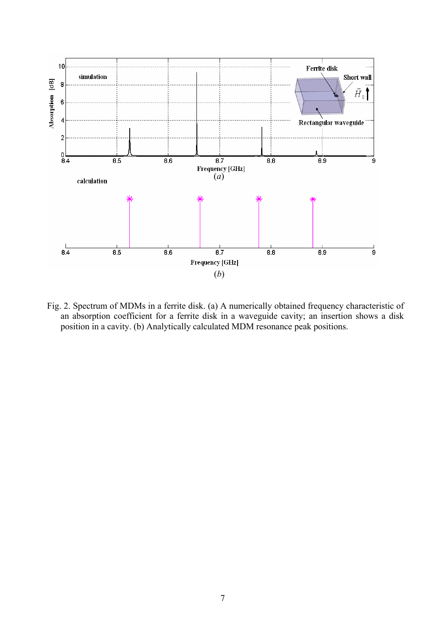

Fig. 2. Spectrum of MDMs in a ferrite disk. (a) A numerically obtained frequency characteristic of an absorption coefficient for a ferrite disk in a waveguide cavity; an insertion shows a disk position in a cavity. (b) Analytically calculated MDM resonance peak positions.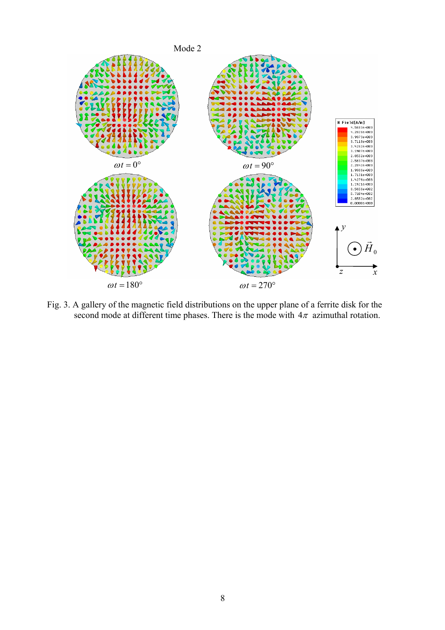

Fig. 3. A gallery of the magnetic field distributions on the upper plane of a ferrite disk for the second mode at different time phases. There is the mode with  $4\pi$  azimuthal rotation.